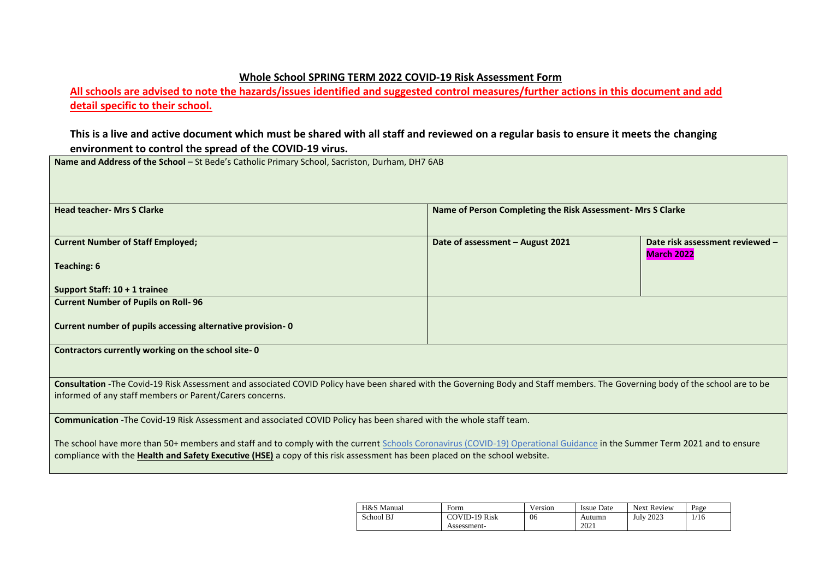## **Whole School SPRING TERM 2022 COVID-19 Risk Assessment Form**

**All schools are advised to note the hazards/issues identified and suggested control measures/further actions in this document and add detail specific to their school.** 

## **This is a live and active document which must be shared with all staff and reviewed on a regular basis to ensure it meets the changing environment to control the spread of the COVID-19 virus.**

**Name and Address of the School** – St Bede's Catholic Primary School, Sacriston, Durham, DH7 6AB

| <b>Head teacher- Mrs S Clarke</b>                                                                                                                                             | Name of Person Completing the Risk Assessment- Mrs S Clarke |                                 |
|-------------------------------------------------------------------------------------------------------------------------------------------------------------------------------|-------------------------------------------------------------|---------------------------------|
|                                                                                                                                                                               |                                                             |                                 |
| <b>Current Number of Staff Employed;</b>                                                                                                                                      | Date of assessment - August 2021                            | Date risk assessment reviewed - |
| <b>Teaching: 6</b>                                                                                                                                                            |                                                             | <b>March 2022</b>               |
|                                                                                                                                                                               |                                                             |                                 |
| Support Staff: 10 + 1 trainee                                                                                                                                                 |                                                             |                                 |
| <b>Current Number of Pupils on Roll-96</b>                                                                                                                                    |                                                             |                                 |
|                                                                                                                                                                               |                                                             |                                 |
| Current number of pupils accessing alternative provision-0                                                                                                                    |                                                             |                                 |
|                                                                                                                                                                               |                                                             |                                 |
| Contractors currently working on the school site-0                                                                                                                            |                                                             |                                 |
|                                                                                                                                                                               |                                                             |                                 |
| Consultation -The Covid-19 Risk Assessment and associated COVID Policy have been shared with the Governing Body and Staff members. The Governing body of the school are to be |                                                             |                                 |
| informed of any staff members or Parent/Carers concerns.                                                                                                                      |                                                             |                                 |
|                                                                                                                                                                               |                                                             |                                 |
| Communication -The Covid-19 Risk Assessment and associated COVID Policy has been shared with the whole staff team.                                                            |                                                             |                                 |
|                                                                                                                                                                               |                                                             |                                 |
| The school have more than 50+ members and staff and to comply with the current Schools Coronavirus (COVID-19) Operational Guidance in the Summer Term 2021 and to ensure      |                                                             |                                 |
| compliance with the Health and Safety Executive (HSE) a copy of this risk assessment has been placed on the school website.                                                   |                                                             |                                 |

| H&S Manual | Form                                | Version | <b>Issue Date</b> | <b>Next Review</b> | Page |
|------------|-------------------------------------|---------|-------------------|--------------------|------|
| School BJ  | <b>COVID-19 Risk</b><br>Assessment- | 06      | Autumn<br>2021    | <b>July 2023</b>   | 16   |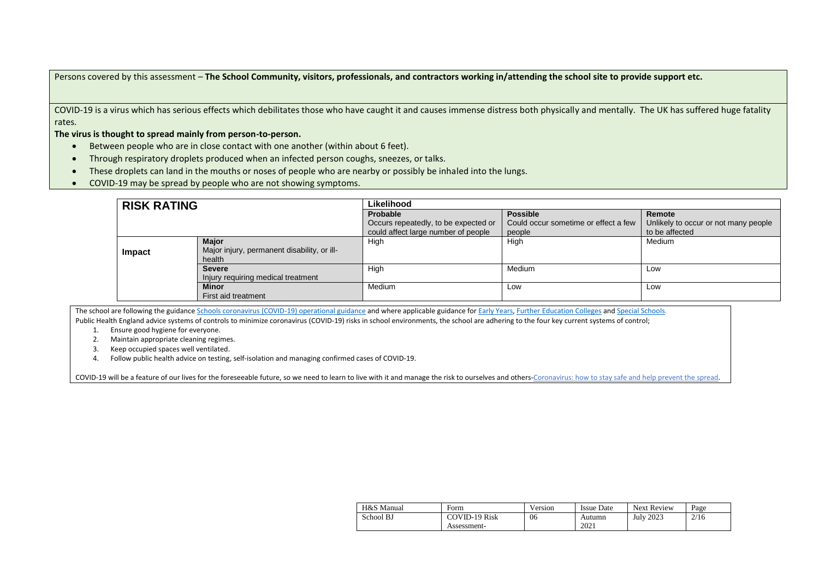Persons covered by this assessment – **The School Community, visitors, professionals, and contractors working in/attending the school site to provide support etc.**

COVID-19 is a virus which has serious effects which debilitates those who have caught it and causes immense distress both physically and mentally. The UK has suffered huge fatality rates.

**The virus is thought to spread mainly from person-to-person.**

- Between people who are in close contact with one another (within about 6 feet).
- Through respiratory droplets produced when an infected person coughs, sneezes, or talks.
- These droplets can land in the mouths or noses of people who are nearby or possibly be inhaled into the lungs.
- COVID-19 may be spread by people who are not showing symptoms.

| <b>RISK RATING</b> |                                             | Likelihood                           |                                      |                                      |  |  |  |
|--------------------|---------------------------------------------|--------------------------------------|--------------------------------------|--------------------------------------|--|--|--|
|                    |                                             | Probable                             | <b>Possible</b>                      | Remote                               |  |  |  |
|                    |                                             | Occurs repeatedly, to be expected or | Could occur sometime or effect a few | Unlikely to occur or not many people |  |  |  |
|                    |                                             | could affect large number of people  | people                               | to be affected                       |  |  |  |
|                    | <b>Maior</b>                                | High                                 | High                                 | Medium                               |  |  |  |
| Impact             | Major injury, permanent disability, or ill- |                                      |                                      |                                      |  |  |  |
|                    | health                                      |                                      |                                      |                                      |  |  |  |
|                    | <b>Severe</b>                               | High                                 | Medium                               | Low                                  |  |  |  |
|                    | Injury requiring medical treatment          |                                      |                                      |                                      |  |  |  |
|                    | <b>Minor</b>                                | Medium                               | Low                                  | Low                                  |  |  |  |
|                    | First aid treatment                         |                                      |                                      |                                      |  |  |  |

The school are following the guidanc[e Schools coronavirus \(COVID-19\) operational guidance](https://www.gov.uk/government/publications/actions-for-schools-during-the-coronavirus-outbreak/schools-coronavirus-covid-19-operational-guidance) and where applicable guidance for [Early Years,](https://www.gov.uk/government/publications/coronavirus-covid-19-early-years-and-childcare-closures/actions-for-early-years-and-childcare-providers-during-the-covid-19-pandemic) [Further Education Colleges](https://www.gov.uk/government/publications/coronavirus-covid-19-maintaining-further-education-provision/further-education-covid-19-operational-guidance) and [Special Schools.](https://www.gov.uk/government/publications/guidance-for-full-opening-special-schools-and-other-specialist-settings/send-and-specialist-settings-additional-covid-19-operational-guidance-applies-after-step-4) Public Health England advice systems of controls to minimize coronavirus (COVID-19) risks in school environments, the school are adhering to the four key current systems of control;

1. Ensure good hygiene for everyone.

- 
- 2. Maintain appropriate cleaning regimes. 3. Keep occupied spaces well ventilated.
- 4. Follow public health advice on testing, self-isolation and managing confirmed cases of COVID-19.

[COVID-19 will be a feature of our lives for the foreseeable future, so we need to learn to live with it and manage the risk to ourselves and others-Coronavirus: how](https://www.gov.uk/guidance/covid-19-coronavirus-restrictions-what-you-can-and-cannot-do?fbclid=IwAR05JnKHSGCw44PjqCdklSq0TdZNY55Qqf_5_MDleT_oAMdmVYhPVoGwdgU) to stay safe and help prevent the spread.

| H&S Manual | Form                 | Version | <b>Issue Date</b> | <b>Next Review</b> | Page |
|------------|----------------------|---------|-------------------|--------------------|------|
| School BJ  | <b>COVID-19 Risk</b> | 06      | Autumn            | <b>July 2023</b>   | 2/16 |
|            | Assessment-          |         | 2021              |                    |      |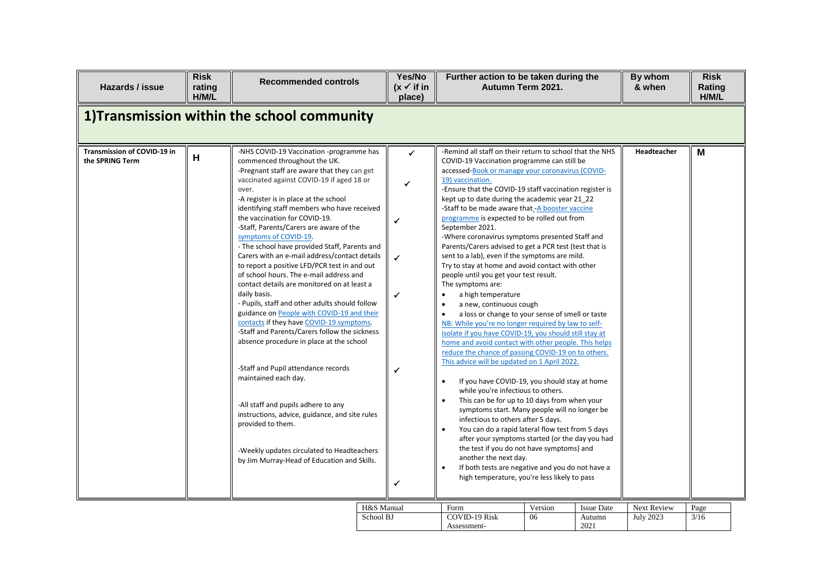| Hazards / issue                                | <b>Risk</b><br>rating<br>H/M/L | <b>Recommended controls</b>                                                                                                                                                                                                                                                                                                                                                                                                                                                                                                                                                                                                                                                                                                                                                                                                                                                                                                                                                                                                                                                                                                                               | Yes/No<br>$(x \vee$ if in<br>place)                                         | Further action to be taken during the<br>Autumn Term 2021.                                                                                                                                                                                                                                                                                                                                                                                                                                                                                                                                                                                                                                                                                                                                                                                                                                                                                                                                                                                                                                                                                                                                                                                                                                                                                                                                                                                                                                                                                                                                                                        |               |                                     | By whom<br>& when               | <b>Risk</b><br>Rating<br>H/M/L |
|------------------------------------------------|--------------------------------|-----------------------------------------------------------------------------------------------------------------------------------------------------------------------------------------------------------------------------------------------------------------------------------------------------------------------------------------------------------------------------------------------------------------------------------------------------------------------------------------------------------------------------------------------------------------------------------------------------------------------------------------------------------------------------------------------------------------------------------------------------------------------------------------------------------------------------------------------------------------------------------------------------------------------------------------------------------------------------------------------------------------------------------------------------------------------------------------------------------------------------------------------------------|-----------------------------------------------------------------------------|-----------------------------------------------------------------------------------------------------------------------------------------------------------------------------------------------------------------------------------------------------------------------------------------------------------------------------------------------------------------------------------------------------------------------------------------------------------------------------------------------------------------------------------------------------------------------------------------------------------------------------------------------------------------------------------------------------------------------------------------------------------------------------------------------------------------------------------------------------------------------------------------------------------------------------------------------------------------------------------------------------------------------------------------------------------------------------------------------------------------------------------------------------------------------------------------------------------------------------------------------------------------------------------------------------------------------------------------------------------------------------------------------------------------------------------------------------------------------------------------------------------------------------------------------------------------------------------------------------------------------------------|---------------|-------------------------------------|---------------------------------|--------------------------------|
| 1) Transmission within the school community    |                                |                                                                                                                                                                                                                                                                                                                                                                                                                                                                                                                                                                                                                                                                                                                                                                                                                                                                                                                                                                                                                                                                                                                                                           |                                                                             |                                                                                                                                                                                                                                                                                                                                                                                                                                                                                                                                                                                                                                                                                                                                                                                                                                                                                                                                                                                                                                                                                                                                                                                                                                                                                                                                                                                                                                                                                                                                                                                                                                   |               |                                     |                                 |                                |
| Transmission of COVID-19 in<br>the SPRING Term | Н                              | -NHS COVID-19 Vaccination -programme has<br>commenced throughout the UK.<br>-Pregnant staff are aware that they can get<br>vaccinated against COVID-19 if aged 18 or<br>over.<br>-A register is in place at the school<br>identifying staff members who have received<br>the vaccination for COVID-19.<br>-Staff, Parents/Carers are aware of the<br>symptoms of COVID-19.<br>- The school have provided Staff, Parents and<br>Carers with an e-mail address/contact details<br>to report a positive LFD/PCR test in and out<br>of school hours. The e-mail address and<br>contact details are monitored on at least a<br>daily basis.<br>- Pupils, staff and other adults should follow<br>guidance on People with COVID-19 and their<br>contacts if they have COVID-19 symptoms.<br>-Staff and Parents/Carers follow the sickness<br>absence procedure in place at the school<br>-Staff and Pupil attendance records<br>maintained each day.<br>-All staff and pupils adhere to any<br>instructions, advice, guidance, and site rules<br>provided to them.<br>-Weekly updates circulated to Headteachers<br>by Jim Murray-Head of Education and Skills. | ✓<br>✔<br>$\checkmark$<br>$\checkmark$<br>$\checkmark$<br>✔<br>$\checkmark$ | -Remind all staff on their return to school that the NHS<br>COVID-19 Vaccination programme can still be<br>accessed-Book or manage your coronavirus (COVID-<br>19) vaccination.<br>-Ensure that the COVID-19 staff vaccination register is<br>kept up to date during the academic year 21 22<br>-Staff to be made aware that -A booster vaccine<br>programme is expected to be rolled out from<br>September 2021.<br>-Where coronavirus symptoms presented Staff and<br>Parents/Carers advised to get a PCR test (test that is<br>sent to a lab), even if the symptoms are mild.<br>Try to stay at home and avoid contact with other<br>people until you get your test result.<br>The symptoms are:<br>a high temperature<br>$\bullet$<br>a new, continuous cough<br>a loss or change to your sense of smell or taste<br>NB: While you're no longer required by law to self-<br>isolate if you have COVID-19, you should still stay at<br>home and avoid contact with other people. This helps<br>reduce the chance of passing COVID-19 on to others.<br>This advice will be updated on 1 April 2022.<br>If you have COVID-19, you should stay at home<br>$\bullet$<br>while you're infectious to others.<br>This can be for up to 10 days from when your<br>symptoms start. Many people will no longer be<br>infectious to others after 5 days.<br>You can do a rapid lateral flow test from 5 days<br>after your symptoms started (or the day you had<br>the test if you do not have symptoms) and<br>another the next day.<br>If both tests are negative and you do not have a<br>high temperature, you're less likely to pass |               |                                     | Headteacher                     | M                              |
|                                                |                                |                                                                                                                                                                                                                                                                                                                                                                                                                                                                                                                                                                                                                                                                                                                                                                                                                                                                                                                                                                                                                                                                                                                                                           | H&S Manual<br>School BJ                                                     | Form<br><b>COVID-19 Risk</b><br>Assessment-                                                                                                                                                                                                                                                                                                                                                                                                                                                                                                                                                                                                                                                                                                                                                                                                                                                                                                                                                                                                                                                                                                                                                                                                                                                                                                                                                                                                                                                                                                                                                                                       | Version<br>06 | <b>Issue Date</b><br>Autumn<br>2021 | Next Review<br><b>July 2023</b> | Page<br>3/16                   |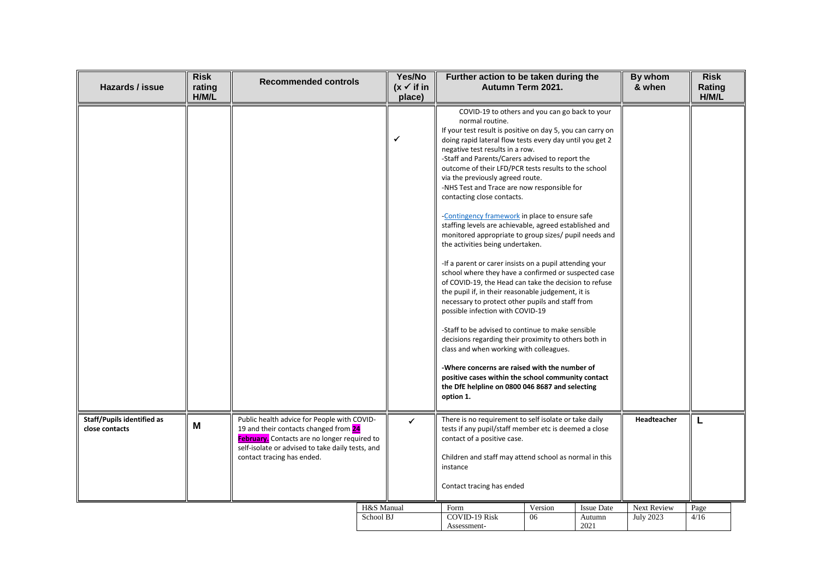| Hazards / issue                                     | <b>Risk</b><br>rating<br>H/M/L | <b>Recommended controls</b>                                                                                                                                                                                                   | Yes/No<br>$(x \checkmark)$ if in<br>place) | Further action to be taken during the<br>Autumn Term 2021.                                                                                                                                                                                                                                                                                                                                                                                                                                                                                                                                                                                                                                                                                                                                                                                                                                                                                                                                                                                                                                                                                                                                                                                                                                                                    |               |                                     | By whom<br>& when               | <b>Risk</b><br>Rating<br>H/M/L |
|-----------------------------------------------------|--------------------------------|-------------------------------------------------------------------------------------------------------------------------------------------------------------------------------------------------------------------------------|--------------------------------------------|-------------------------------------------------------------------------------------------------------------------------------------------------------------------------------------------------------------------------------------------------------------------------------------------------------------------------------------------------------------------------------------------------------------------------------------------------------------------------------------------------------------------------------------------------------------------------------------------------------------------------------------------------------------------------------------------------------------------------------------------------------------------------------------------------------------------------------------------------------------------------------------------------------------------------------------------------------------------------------------------------------------------------------------------------------------------------------------------------------------------------------------------------------------------------------------------------------------------------------------------------------------------------------------------------------------------------------|---------------|-------------------------------------|---------------------------------|--------------------------------|
|                                                     |                                |                                                                                                                                                                                                                               | ✔                                          | COVID-19 to others and you can go back to your<br>normal routine.<br>If your test result is positive on day 5, you can carry on<br>doing rapid lateral flow tests every day until you get 2<br>negative test results in a row.<br>-Staff and Parents/Carers advised to report the<br>outcome of their LFD/PCR tests results to the school<br>via the previously agreed route.<br>-NHS Test and Trace are now responsible for<br>contacting close contacts.<br>-Contingency framework in place to ensure safe<br>staffing levels are achievable, agreed established and<br>monitored appropriate to group sizes/ pupil needs and<br>the activities being undertaken.<br>-If a parent or carer insists on a pupil attending your<br>school where they have a confirmed or suspected case<br>of COVID-19, the Head can take the decision to refuse<br>the pupil if, in their reasonable judgement, it is<br>necessary to protect other pupils and staff from<br>possible infection with COVID-19<br>-Staff to be advised to continue to make sensible<br>decisions regarding their proximity to others both in<br>class and when working with colleagues.<br>-Where concerns are raised with the number of<br>positive cases within the school community contact<br>the DfE helpline on 0800 046 8687 and selecting<br>option 1. |               |                                     |                                 |                                |
| <b>Staff/Pupils identified as</b><br>close contacts | M                              | Public health advice for People with COVID-<br>19 and their contacts changed from 24<br><b>February.</b> Contacts are no longer required to<br>self-isolate or advised to take daily tests, and<br>contact tracing has ended. | ✓                                          | There is no requirement to self isolate or take daily<br>tests if any pupil/staff member etc is deemed a close<br>contact of a positive case.<br>Children and staff may attend school as normal in this<br>instance<br>Contact tracing has ended                                                                                                                                                                                                                                                                                                                                                                                                                                                                                                                                                                                                                                                                                                                                                                                                                                                                                                                                                                                                                                                                              |               |                                     | <b>Headteacher</b>              | L                              |
|                                                     |                                |                                                                                                                                                                                                                               | H&S Manual<br>School BJ                    | Form<br><b>COVID-19 Risk</b><br>Assessment-                                                                                                                                                                                                                                                                                                                                                                                                                                                                                                                                                                                                                                                                                                                                                                                                                                                                                                                                                                                                                                                                                                                                                                                                                                                                                   | Version<br>06 | <b>Issue Date</b><br>Autumn<br>2021 | Next Review<br><b>July 2023</b> | Page<br>4/16                   |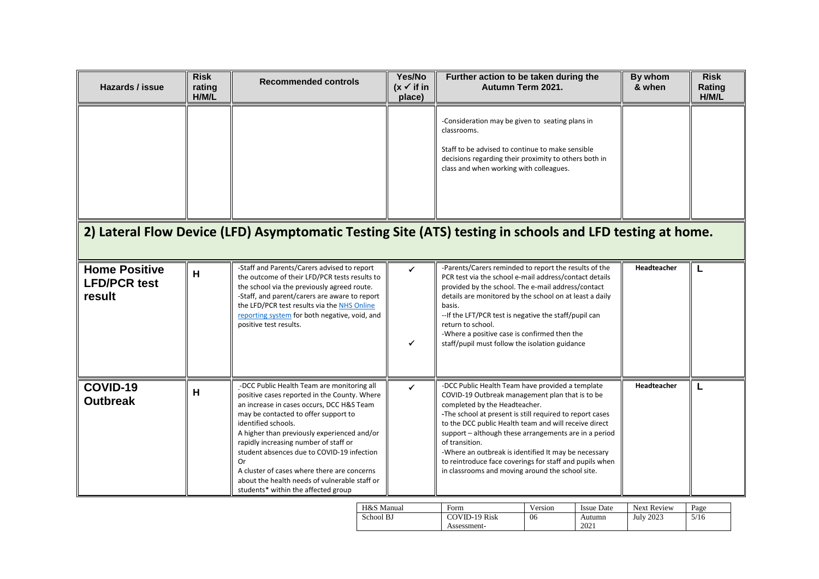| Hazards / issue                                       | <b>Risk</b><br>rating<br>H/M/L | <b>Recommended controls</b>                                                                                                                                                                                                                                                                                                                                                                                                                                                               | Yes/No<br>$(x \checkmark)$ if in<br>place) | Further action to be taken during the<br>Autumn Term 2021.                                                                                                                                                                                                                                                                                                                                                                                                                                                  | By whom<br>& when  | <b>Risk</b><br>Rating<br>H/M/L |
|-------------------------------------------------------|--------------------------------|-------------------------------------------------------------------------------------------------------------------------------------------------------------------------------------------------------------------------------------------------------------------------------------------------------------------------------------------------------------------------------------------------------------------------------------------------------------------------------------------|--------------------------------------------|-------------------------------------------------------------------------------------------------------------------------------------------------------------------------------------------------------------------------------------------------------------------------------------------------------------------------------------------------------------------------------------------------------------------------------------------------------------------------------------------------------------|--------------------|--------------------------------|
|                                                       |                                |                                                                                                                                                                                                                                                                                                                                                                                                                                                                                           |                                            | -Consideration may be given to seating plans in<br>classrooms.<br>Staff to be advised to continue to make sensible<br>decisions regarding their proximity to others both in<br>class and when working with colleagues.<br>2) Lateral Flow Device (LFD) Asymptomatic Testing Site (ATS) testing in schools and LFD testing at home.                                                                                                                                                                          |                    |                                |
| <b>Home Positive</b><br><b>LFD/PCR test</b><br>result | H                              | -Staff and Parents/Carers advised to report<br>the outcome of their LFD/PCR tests results to<br>the school via the previously agreed route.<br>-Staff, and parent/carers are aware to report<br>the LFD/PCR test results via the NHS Online<br>reporting system for both negative, void, and<br>positive test results.                                                                                                                                                                    | ✔<br>✓                                     | -Parents/Carers reminded to report the results of the<br>PCR test via the school e-mail address/contact details<br>provided by the school. The e-mail address/contact<br>details are monitored by the school on at least a daily<br>basis.<br>-- If the LFT/PCR test is negative the staff/pupil can<br>return to school.<br>-Where a positive case is confirmed then the<br>staff/pupil must follow the isolation guidance                                                                                 | <b>Headteacher</b> | L                              |
| COVID-19<br><b>Outbreak</b>                           | H                              | -DCC Public Health Team are monitoring all<br>positive cases reported in the County. Where<br>an increase in cases occurs, DCC H&S Team<br>may be contacted to offer support to<br>identified schools.<br>A higher than previously experienced and/or<br>rapidly increasing number of staff or<br>student absences due to COVID-19 infection<br>Or<br>A cluster of cases where there are concerns<br>about the health needs of vulnerable staff or<br>students* within the affected group | ✓                                          | -DCC Public Health Team have provided a template<br>COVID-19 Outbreak management plan that is to be<br>completed by the Headteacher.<br>-The school at present is still required to report cases<br>to the DCC public Health team and will receive direct<br>support - although these arrangements are in a period<br>of transition.<br>-Where an outbreak is identified It may be necessary<br>to reintroduce face coverings for staff and pupils when<br>in classrooms and moving around the school site. | Headteacher        | L                              |

| H&S Manual | Form                 | Version | Issue Date | <b>Next Review</b> | Page |
|------------|----------------------|---------|------------|--------------------|------|
| School BJ  | <b>COVID-19 Risk</b> | 06      | Autumn     | <b>July 2023</b>   | 5/16 |
|            | Assessment-          |         | 2021       |                    |      |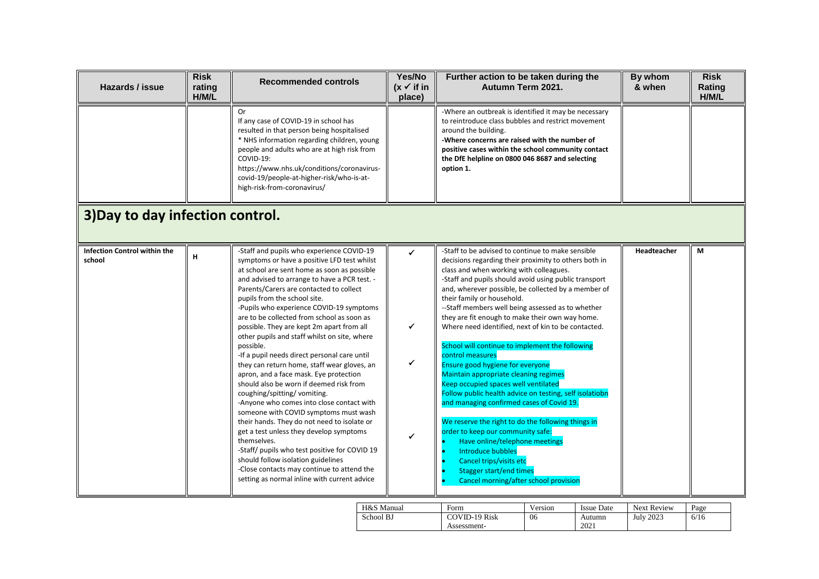| Hazards / issue                        | <b>Risk</b><br>rating<br>H/M/L | <b>Recommended controls</b>                                                                                                                                                                                                                                                                                                                                                                                                                                                                                                                                                                                                                                                                                                                                                                                                                                                                                                                                                                                                                                                   | Yes/No<br>$(x \checkmark)$ if in<br>place) | Further action to be taken during the<br>Autumn Term 2021.                                                                                                                                                                                                                                                                                                                                                                                                                                                                                                                                                                                                                                                                                                                                                                                                                                                                                                                                                                     | By whom<br>& when | <b>Risk</b><br>Rating<br>H/M/L |
|----------------------------------------|--------------------------------|-------------------------------------------------------------------------------------------------------------------------------------------------------------------------------------------------------------------------------------------------------------------------------------------------------------------------------------------------------------------------------------------------------------------------------------------------------------------------------------------------------------------------------------------------------------------------------------------------------------------------------------------------------------------------------------------------------------------------------------------------------------------------------------------------------------------------------------------------------------------------------------------------------------------------------------------------------------------------------------------------------------------------------------------------------------------------------|--------------------------------------------|--------------------------------------------------------------------------------------------------------------------------------------------------------------------------------------------------------------------------------------------------------------------------------------------------------------------------------------------------------------------------------------------------------------------------------------------------------------------------------------------------------------------------------------------------------------------------------------------------------------------------------------------------------------------------------------------------------------------------------------------------------------------------------------------------------------------------------------------------------------------------------------------------------------------------------------------------------------------------------------------------------------------------------|-------------------|--------------------------------|
|                                        |                                | Or<br>If any case of COVID-19 in school has<br>resulted in that person being hospitalised<br>* NHS information regarding children, young<br>people and adults who are at high risk from<br>COVID-19:<br>https://www.nhs.uk/conditions/coronavirus-<br>covid-19/people-at-higher-risk/who-is-at-<br>high-risk-from-coronavirus/                                                                                                                                                                                                                                                                                                                                                                                                                                                                                                                                                                                                                                                                                                                                                |                                            | -Where an outbreak is identified it may be necessary<br>to reintroduce class bubbles and restrict movement<br>around the building.<br>-Where concerns are raised with the number of<br>positive cases within the school community contact<br>the DfE helpline on 0800 046 8687 and selecting<br>option 1.                                                                                                                                                                                                                                                                                                                                                                                                                                                                                                                                                                                                                                                                                                                      |                   |                                |
| 3) Day to day infection control.       |                                |                                                                                                                                                                                                                                                                                                                                                                                                                                                                                                                                                                                                                                                                                                                                                                                                                                                                                                                                                                                                                                                                               |                                            |                                                                                                                                                                                                                                                                                                                                                                                                                                                                                                                                                                                                                                                                                                                                                                                                                                                                                                                                                                                                                                |                   |                                |
| Infection Control within the<br>school | н                              | -Staff and pupils who experience COVID-19<br>symptoms or have a positive LFD test whilst<br>at school are sent home as soon as possible<br>and advised to arrange to have a PCR test. -<br>Parents/Carers are contacted to collect<br>pupils from the school site.<br>-Pupils who experience COVID-19 symptoms<br>are to be collected from school as soon as<br>possible. They are kept 2m apart from all<br>other pupils and staff whilst on site, where<br>possible.<br>-If a pupil needs direct personal care until<br>they can return home, staff wear gloves, an<br>apron, and a face mask. Eye protection<br>should also be worn if deemed risk from<br>coughing/spitting/vomiting.<br>-Anyone who comes into close contact with<br>someone with COVID symptoms must wash<br>their hands. They do not need to isolate or<br>get a test unless they develop symptoms<br>themselves.<br>-Staff/ pupils who test positive for COVID 19<br>should follow isolation guidelines<br>-Close contacts may continue to attend the<br>setting as normal inline with current advice | ✔<br>✔<br>✔                                | -Staff to be advised to continue to make sensible<br>decisions regarding their proximity to others both in<br>class and when working with colleagues.<br>-Staff and pupils should avoid using public transport<br>and, wherever possible, be collected by a member of<br>their family or household.<br>--Staff members well being assessed as to whether<br>they are fit enough to make their own way home.<br>Where need identified, next of kin to be contacted.<br>School will continue to implement the following<br>control measures<br>Ensure good hygiene for everyone<br>Maintain appropriate cleaning regimes<br>Keep occupied spaces well ventilated<br>Follow public health advice on testing, self isolatiobn<br>and managing confirmed cases of Covid 19.<br>We reserve the right to do the following things in<br>order to keep our community safe:<br>Have online/telephone meetings<br>Introduce bubbles<br>Cancel trips/visits etc<br><b>Stagger start/end times</b><br>Cancel morning/after school provision | Headteacher       | М                              |

| H&S Manual | Form                 | version | <b>Issue Date</b> | <b>Next Review</b> | Page |
|------------|----------------------|---------|-------------------|--------------------|------|
| School BJ  | <b>COVID-19 Risk</b> | 06      | Autumn            | <b>July 2023</b>   | 6/16 |
|            | Assessment-          |         | 2021              |                    |      |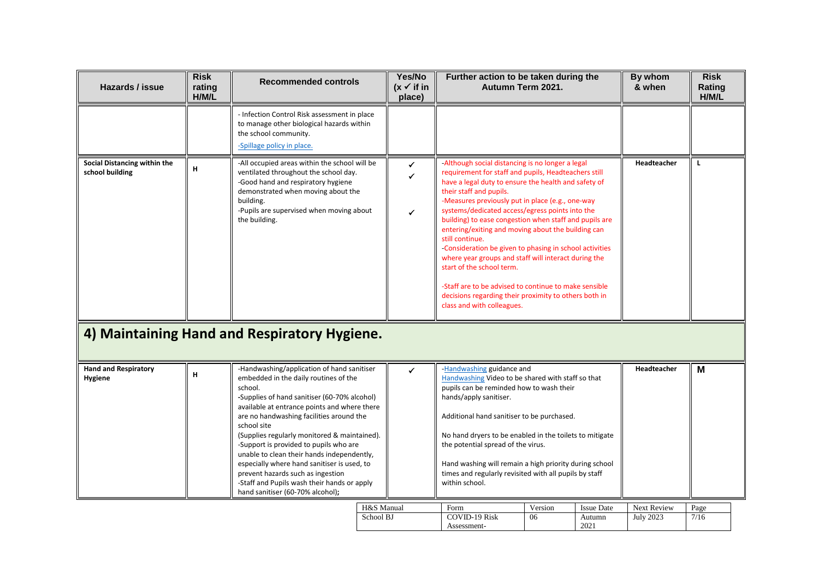| Hazards / issue                                 | <b>Risk</b><br>rating<br>H/M/L | <b>Recommended controls</b>                                                                                                                                                                                                                                                                                                                                                                                                                                                                                                                                              | Yes/No<br>$(x \checkmark)$ if in<br>place) | Further action to be taken during the<br>Autumn Term 2021.                                                                                                                                                                                                                                                                                                                                                                                                                                                                                                                                                                                                                                                                            |               |                                     | By whom<br>& when               | <b>Risk</b><br>Rating<br>H/M/L |
|-------------------------------------------------|--------------------------------|--------------------------------------------------------------------------------------------------------------------------------------------------------------------------------------------------------------------------------------------------------------------------------------------------------------------------------------------------------------------------------------------------------------------------------------------------------------------------------------------------------------------------------------------------------------------------|--------------------------------------------|---------------------------------------------------------------------------------------------------------------------------------------------------------------------------------------------------------------------------------------------------------------------------------------------------------------------------------------------------------------------------------------------------------------------------------------------------------------------------------------------------------------------------------------------------------------------------------------------------------------------------------------------------------------------------------------------------------------------------------------|---------------|-------------------------------------|---------------------------------|--------------------------------|
|                                                 |                                | - Infection Control Risk assessment in place<br>to manage other biological hazards within<br>the school community.<br>-Spillage policy in place.                                                                                                                                                                                                                                                                                                                                                                                                                         |                                            |                                                                                                                                                                                                                                                                                                                                                                                                                                                                                                                                                                                                                                                                                                                                       |               |                                     |                                 |                                |
| Social Distancing within the<br>school building | н                              | -All occupied areas within the school will be<br>ventilated throughout the school day.<br>-Good hand and respiratory hygiene<br>demonstrated when moving about the<br>building.<br>-Pupils are supervised when moving about<br>the building.<br>4) Maintaining Hand and Respiratory Hygiene.                                                                                                                                                                                                                                                                             | ✓<br>✓                                     | -Although social distancing is no longer a legal<br>requirement for staff and pupils, Headteachers still<br>have a legal duty to ensure the health and safety of<br>their staff and pupils.<br>-Measures previously put in place (e.g., one-way<br>systems/dedicated access/egress points into the<br>building) to ease congestion when staff and pupils are<br>entering/exiting and moving about the building can<br>still continue.<br>-Consideration be given to phasing in school activities<br>where year groups and staff will interact during the<br>start of the school term.<br>-Staff are to be advised to continue to make sensible<br>decisions regarding their proximity to others both in<br>class and with colleagues. |               |                                     | Headteacher                     | L                              |
|                                                 |                                |                                                                                                                                                                                                                                                                                                                                                                                                                                                                                                                                                                          |                                            |                                                                                                                                                                                                                                                                                                                                                                                                                                                                                                                                                                                                                                                                                                                                       |               |                                     |                                 |                                |
| <b>Hand and Respiratory</b><br>Hygiene          | н                              | -Handwashing/application of hand sanitiser<br>embedded in the daily routines of the<br>school.<br>-Supplies of hand sanitiser (60-70% alcohol)<br>available at entrance points and where there<br>are no handwashing facilities around the<br>school site<br>(Supplies regularly monitored & maintained).<br>-Support is provided to pupils who are<br>unable to clean their hands independently,<br>especially where hand sanitiser is used, to<br>prevent hazards such as ingestion<br>-Staff and Pupils wash their hands or apply<br>hand sanitiser (60-70% alcohol); | J.                                         | -Handwashing guidance and<br>Handwashing Video to be shared with staff so that<br>pupils can be reminded how to wash their<br>hands/apply sanitiser.<br>Additional hand sanitiser to be purchased.<br>No hand dryers to be enabled in the toilets to mitigate<br>the potential spread of the virus.<br>Hand washing will remain a high priority during school<br>times and regularly revisited with all pupils by staff<br>within school.                                                                                                                                                                                                                                                                                             |               |                                     | Headteacher                     | M                              |
|                                                 |                                | H&S Manual<br>School BJ                                                                                                                                                                                                                                                                                                                                                                                                                                                                                                                                                  |                                            | Form<br><b>COVID-19 Risk</b><br>Assessment-                                                                                                                                                                                                                                                                                                                                                                                                                                                                                                                                                                                                                                                                                           | Version<br>06 | <b>Issue Date</b><br>Autumn<br>2021 | Next Review<br><b>July 2023</b> | Page<br>7/16                   |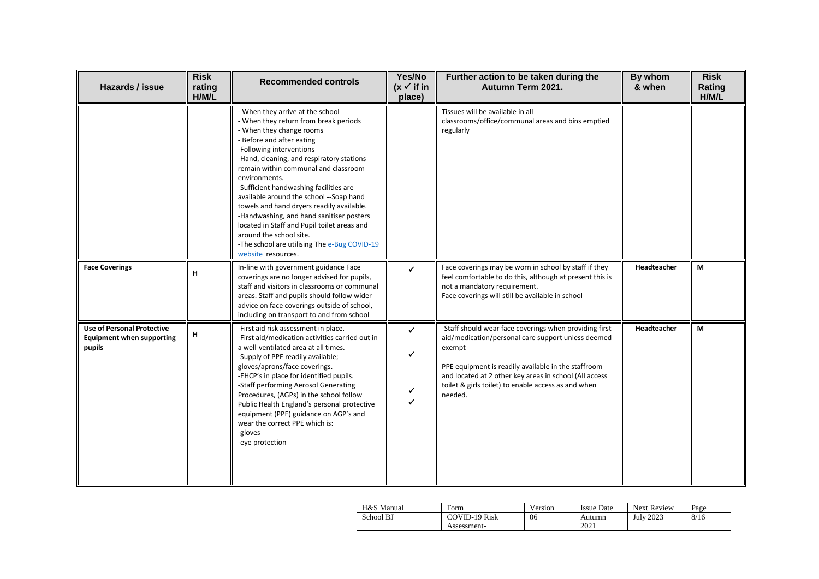| Hazards / issue                                                                 | <b>Risk</b><br>rating<br>H/M/L | <b>Recommended controls</b>                                                                                                                                                                                                                                                                                                                                                                                                                                                                                                                                                                        | Yes/No<br>$(x \checkmark)$ if in<br>place) | Further action to be taken during the<br>Autumn Term 2021.                                                                                                                                                                                                                                                | By whom<br>& when  | <b>Risk</b><br>Rating<br>H/M/L |
|---------------------------------------------------------------------------------|--------------------------------|----------------------------------------------------------------------------------------------------------------------------------------------------------------------------------------------------------------------------------------------------------------------------------------------------------------------------------------------------------------------------------------------------------------------------------------------------------------------------------------------------------------------------------------------------------------------------------------------------|--------------------------------------------|-----------------------------------------------------------------------------------------------------------------------------------------------------------------------------------------------------------------------------------------------------------------------------------------------------------|--------------------|--------------------------------|
|                                                                                 |                                | - When they arrive at the school<br>- When they return from break periods<br>- When they change rooms<br>- Before and after eating<br>-Following interventions<br>-Hand, cleaning, and respiratory stations<br>remain within communal and classroom<br>environments.<br>-Sufficient handwashing facilities are<br>available around the school --Soap hand<br>towels and hand dryers readily available.<br>-Handwashing, and hand sanitiser posters<br>located in Staff and Pupil toilet areas and<br>around the school site.<br>-The school are utilising The e-Bug COVID-19<br>website resources. |                                            | Tissues will be available in all<br>classrooms/office/communal areas and bins emptied<br>regularly                                                                                                                                                                                                        |                    |                                |
| <b>Face Coverings</b>                                                           | H                              | In-line with government guidance Face<br>coverings are no longer advised for pupils,<br>staff and visitors in classrooms or communal<br>areas. Staff and pupils should follow wider<br>advice on face coverings outside of school,<br>including on transport to and from school                                                                                                                                                                                                                                                                                                                    | $\checkmark$                               | Face coverings may be worn in school by staff if they<br>feel comfortable to do this, although at present this is<br>not a mandatory requirement.<br>Face coverings will still be available in school                                                                                                     | <b>Headteacher</b> | M                              |
| <b>Use of Personal Protective</b><br><b>Equipment when supporting</b><br>pupils | н                              | -First aid risk assessment in place.<br>-First aid/medication activities carried out in<br>a well-ventilated area at all times.<br>-Supply of PPE readily available;<br>gloves/aprons/face coverings.<br>-EHCP's in place for identified pupils.<br>-Staff performing Aerosol Generating<br>Procedures, (AGPs) in the school follow<br>Public Health England's personal protective<br>equipment (PPE) guidance on AGP's and<br>wear the correct PPE which is:<br>-gloves<br>-eye protection                                                                                                        | ✓<br>✔                                     | -Staff should wear face coverings when providing first<br>aid/medication/personal care support unless deemed<br>exempt<br>PPE equipment is readily available in the staffroom<br>and located at 2 other key areas in school (All access<br>toilet & girls toilet) to enable access as and when<br>needed. | Headteacher        | M                              |

| H&S Manual | Form                 | version | <b>Issue Date</b> | <b>Next Review</b> | Page |
|------------|----------------------|---------|-------------------|--------------------|------|
| School BJ  | <b>COVID-19 Risk</b> | 06      | Autumn            | <b>July 2023</b>   | 8/16 |
|            | Assessment-          |         | 2021              |                    |      |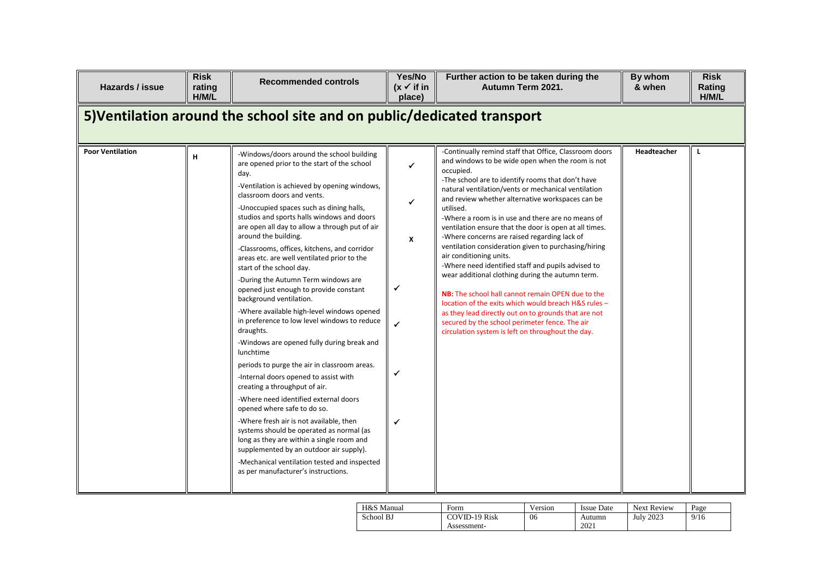| Hazards / issue         | <b>Risk</b><br>rating<br>H/M/L                                          | <b>Recommended controls</b>                                                                                                                                                                                                                                                                                                                                                                                                                                                                                                                                                                                                                                                                                                                                                                                                                                                                                                                                                                                                                                                                                                                                                                                                             | Yes/No<br>$(x \vee$ if in<br>place)                   | Further action to be taken during the<br>Autumn Term 2021.                                                                                                                                                                                                                                                                                                                                                                                                                                                                                                                                                                                                                                                                                                                                                                                                                                                                                   | By whom<br>& when | <b>Risk</b><br>Rating<br>H/M/L |  |  |  |  |  |
|-------------------------|-------------------------------------------------------------------------|-----------------------------------------------------------------------------------------------------------------------------------------------------------------------------------------------------------------------------------------------------------------------------------------------------------------------------------------------------------------------------------------------------------------------------------------------------------------------------------------------------------------------------------------------------------------------------------------------------------------------------------------------------------------------------------------------------------------------------------------------------------------------------------------------------------------------------------------------------------------------------------------------------------------------------------------------------------------------------------------------------------------------------------------------------------------------------------------------------------------------------------------------------------------------------------------------------------------------------------------|-------------------------------------------------------|----------------------------------------------------------------------------------------------------------------------------------------------------------------------------------------------------------------------------------------------------------------------------------------------------------------------------------------------------------------------------------------------------------------------------------------------------------------------------------------------------------------------------------------------------------------------------------------------------------------------------------------------------------------------------------------------------------------------------------------------------------------------------------------------------------------------------------------------------------------------------------------------------------------------------------------------|-------------------|--------------------------------|--|--|--|--|--|
|                         | 5) Ventilation around the school site and on public/dedicated transport |                                                                                                                                                                                                                                                                                                                                                                                                                                                                                                                                                                                                                                                                                                                                                                                                                                                                                                                                                                                                                                                                                                                                                                                                                                         |                                                       |                                                                                                                                                                                                                                                                                                                                                                                                                                                                                                                                                                                                                                                                                                                                                                                                                                                                                                                                              |                   |                                |  |  |  |  |  |
| <b>Poor Ventilation</b> | H                                                                       | -Windows/doors around the school building<br>are opened prior to the start of the school<br>day.<br>-Ventilation is achieved by opening windows,<br>classroom doors and vents.<br>-Unoccupied spaces such as dining halls,<br>studios and sports halls windows and doors<br>are open all day to allow a through put of air<br>around the building.<br>-Classrooms, offices, kitchens, and corridor<br>areas etc. are well ventilated prior to the<br>start of the school day.<br>-During the Autumn Term windows are<br>opened just enough to provide constant<br>background ventilation.<br>-Where available high-level windows opened<br>in preference to low level windows to reduce<br>draughts.<br>-Windows are opened fully during break and<br>lunchtime<br>periods to purge the air in classroom areas.<br>-Internal doors opened to assist with<br>creating a throughput of air.<br>-Where need identified external doors<br>opened where safe to do so.<br>-Where fresh air is not available, then<br>systems should be operated as normal (as<br>long as they are within a single room and<br>supplemented by an outdoor air supply).<br>-Mechanical ventilation tested and inspected<br>as per manufacturer's instructions. | $\checkmark$<br>$\checkmark$<br>X<br>✓<br>✓<br>✔<br>✓ | -Continually remind staff that Office, Classroom doors<br>and windows to be wide open when the room is not<br>occupied.<br>-The school are to identify rooms that don't have<br>natural ventilation/vents or mechanical ventilation<br>and review whether alternative workspaces can be<br>utilised.<br>-Where a room is in use and there are no means of<br>ventilation ensure that the door is open at all times.<br>-Where concerns are raised regarding lack of<br>ventilation consideration given to purchasing/hiring<br>air conditioning units.<br>-Where need identified staff and pupils advised to<br>wear additional clothing during the autumn term.<br>NB: The school hall cannot remain OPEN due to the<br>location of the exits which would breach H&S rules -<br>as they lead directly out on to grounds that are not<br>secured by the school perimeter fence. The air<br>circulation system is left on throughout the day. | Headteacher       | L                              |  |  |  |  |  |

| H&S Manual | Form          | Version | <b>Issue Date</b> | <b>Next Review</b> | Page |
|------------|---------------|---------|-------------------|--------------------|------|
| School BJ  | COVID-19 Risk | 06      | Autumn            | <b>July 2023</b>   | 9/16 |
|            | Assessment-   |         | 2021              |                    |      |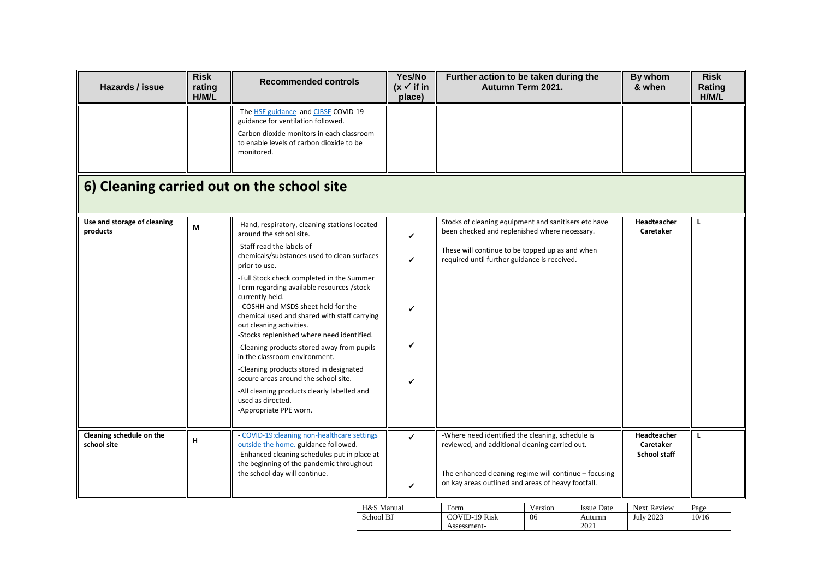| Hazards / issue                         | <b>Risk</b><br>rating<br>H/M/L             | <b>Recommended controls</b>                                                                                                                                                                                                                                                                                                                                                                                                                                                                                                                                                                                                                                                                                         | Yes/No<br>$(x \checkmark)$ if in<br>place) | Further action to be taken during the<br>Autumn Term 2021.                                                                                                                                                        |               |                                     | By whom<br>& when                               | <b>Risk</b><br>Rating<br>H/M/L |  |  |
|-----------------------------------------|--------------------------------------------|---------------------------------------------------------------------------------------------------------------------------------------------------------------------------------------------------------------------------------------------------------------------------------------------------------------------------------------------------------------------------------------------------------------------------------------------------------------------------------------------------------------------------------------------------------------------------------------------------------------------------------------------------------------------------------------------------------------------|--------------------------------------------|-------------------------------------------------------------------------------------------------------------------------------------------------------------------------------------------------------------------|---------------|-------------------------------------|-------------------------------------------------|--------------------------------|--|--|
|                                         |                                            | -The <b>HSE</b> guidance and <b>CIBSE</b> COVID-19<br>guidance for ventilation followed.<br>Carbon dioxide monitors in each classroom<br>to enable levels of carbon dioxide to be<br>monitored.                                                                                                                                                                                                                                                                                                                                                                                                                                                                                                                     |                                            |                                                                                                                                                                                                                   |               |                                     |                                                 |                                |  |  |
|                                         | 6) Cleaning carried out on the school site |                                                                                                                                                                                                                                                                                                                                                                                                                                                                                                                                                                                                                                                                                                                     |                                            |                                                                                                                                                                                                                   |               |                                     |                                                 |                                |  |  |
| Use and storage of cleaning<br>products | M                                          | -Hand, respiratory, cleaning stations located<br>around the school site.<br>-Staff read the labels of<br>chemicals/substances used to clean surfaces<br>prior to use.<br>-Full Stock check completed in the Summer<br>Term regarding available resources /stock<br>currently held.<br>- COSHH and MSDS sheet held for the<br>chemical used and shared with staff carrying<br>out cleaning activities.<br>-Stocks replenished where need identified.<br>-Cleaning products stored away from pupils<br>in the classroom environment.<br>-Cleaning products stored in designated<br>secure areas around the school site.<br>-All cleaning products clearly labelled and<br>used as directed.<br>-Appropriate PPE worn. | ✓<br>✓<br>✓<br>✔                           | Stocks of cleaning equipment and sanitisers etc have<br>been checked and replenished where necessary.<br>These will continue to be topped up as and when<br>required until further guidance is received.          |               |                                     | Headteacher<br>Caretaker                        | L                              |  |  |
| Cleaning schedule on the<br>school site | H                                          | - COVID-19:cleaning non-healthcare settings<br>outside the home. guidance followed.<br>-Enhanced cleaning schedules put in place at<br>the beginning of the pandemic throughout<br>the school day will continue.                                                                                                                                                                                                                                                                                                                                                                                                                                                                                                    | ✓<br>$\checkmark$                          | -Where need identified the cleaning, schedule is<br>reviewed, and additional cleaning carried out.<br>The enhanced cleaning regime will continue - focusing<br>on kay areas outlined and areas of heavy footfall. |               |                                     | Headteacher<br>Caretaker<br><b>School staff</b> | $\mathbf{L}$                   |  |  |
|                                         |                                            | School BJ                                                                                                                                                                                                                                                                                                                                                                                                                                                                                                                                                                                                                                                                                                           | H&S Manual                                 | Form<br><b>COVID-19 Risk</b><br>Assessment-                                                                                                                                                                       | Version<br>06 | <b>Issue Date</b><br>Autumn<br>2021 | Next Review<br><b>July 2023</b>                 | Page<br>10/16                  |  |  |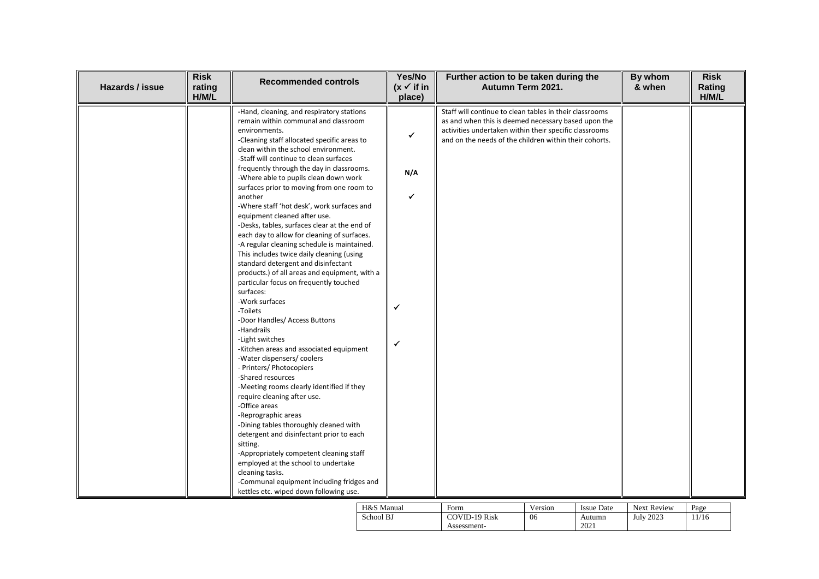| Hazards / issue | <b>Risk</b><br>rating<br>H/M/L | <b>Recommended controls</b>                                                                                                                                                                                                                                                                                                                                                                                                                                                                                                                                                                                                                                                                                                                                                                                                                                                                                                                                                                                                                                                                                                                                                                                                                              | Yes/No<br>$(x \checkmark)$ if in<br>place) | Further action to be taken during the<br>Autumn Term 2021.                                                                                                                                                                         | By whom<br>& when | <b>Risk</b><br>Rating<br>H/M/L |
|-----------------|--------------------------------|----------------------------------------------------------------------------------------------------------------------------------------------------------------------------------------------------------------------------------------------------------------------------------------------------------------------------------------------------------------------------------------------------------------------------------------------------------------------------------------------------------------------------------------------------------------------------------------------------------------------------------------------------------------------------------------------------------------------------------------------------------------------------------------------------------------------------------------------------------------------------------------------------------------------------------------------------------------------------------------------------------------------------------------------------------------------------------------------------------------------------------------------------------------------------------------------------------------------------------------------------------|--------------------------------------------|------------------------------------------------------------------------------------------------------------------------------------------------------------------------------------------------------------------------------------|-------------------|--------------------------------|
|                 |                                | -Hand, cleaning, and respiratory stations<br>remain within communal and classroom<br>environments.<br>-Cleaning staff allocated specific areas to<br>clean within the school environment.<br>-Staff will continue to clean surfaces<br>frequently through the day in classrooms.<br>-Where able to pupils clean down work<br>surfaces prior to moving from one room to<br>another<br>-Where staff 'hot desk', work surfaces and<br>equipment cleaned after use.<br>-Desks, tables, surfaces clear at the end of<br>each day to allow for cleaning of surfaces.<br>-A regular cleaning schedule is maintained.<br>This includes twice daily cleaning (using<br>standard detergent and disinfectant<br>products.) of all areas and equipment, with a<br>particular focus on frequently touched<br>surfaces:<br>-Work surfaces<br>-Toilets<br>-Door Handles/ Access Buttons<br>-Handrails<br>-Light switches<br>-Kitchen areas and associated equipment<br>-Water dispensers/coolers<br>- Printers/ Photocopiers<br>-Shared resources<br>-Meeting rooms clearly identified if they<br>require cleaning after use.<br>-Office areas<br>-Reprographic areas<br>-Dining tables thoroughly cleaned with<br>detergent and disinfectant prior to each<br>sitting. | ✔<br>N/A<br>✔<br>✔                         | Staff will continue to clean tables in their classrooms<br>as and when this is deemed necessary based upon the<br>activities undertaken within their specific classrooms<br>and on the needs of the children within their cohorts. |                   |                                |
|                 |                                | -Appropriately competent cleaning staff<br>employed at the school to undertake<br>cleaning tasks.<br>-Communal equipment including fridges and<br>kettles etc. wiped down following use.                                                                                                                                                                                                                                                                                                                                                                                                                                                                                                                                                                                                                                                                                                                                                                                                                                                                                                                                                                                                                                                                 |                                            |                                                                                                                                                                                                                                    |                   |                                |

 $\Box$ 

| H&S Manual | Form          | Version | <b>Issue Date</b> | <b>Next Review</b> | Page |
|------------|---------------|---------|-------------------|--------------------|------|
| School BJ  | COVID-19 Risk | 06      | Autumn            | <b>July 2023</b>   | 1/16 |
|            | Assessment-   |         | 2021              |                    |      |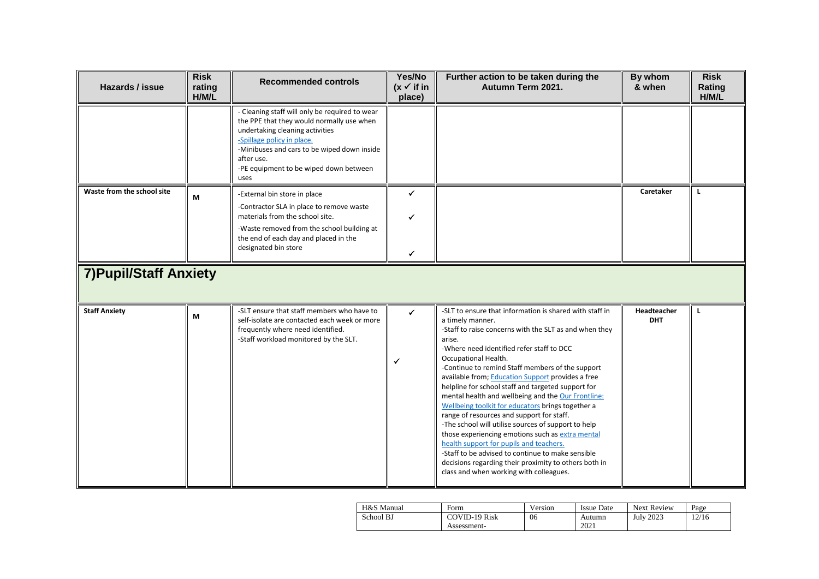| Hazards / issue                                             | <b>Risk</b><br>rating<br>H/M/L | <b>Recommended controls</b>                                                                                                                                                                                                                                                 | Yes/No<br>$(x \vee$ if in<br>place) | Further action to be taken during the<br>Autumn Term 2021.                                                                                                                                                                                                                                                                                                                                                                                                                                                                                                                                                                                                                                                                                                                                                                                                 | By whom<br>& when         | <b>Risk</b><br>Rating<br>H/M/L |
|-------------------------------------------------------------|--------------------------------|-----------------------------------------------------------------------------------------------------------------------------------------------------------------------------------------------------------------------------------------------------------------------------|-------------------------------------|------------------------------------------------------------------------------------------------------------------------------------------------------------------------------------------------------------------------------------------------------------------------------------------------------------------------------------------------------------------------------------------------------------------------------------------------------------------------------------------------------------------------------------------------------------------------------------------------------------------------------------------------------------------------------------------------------------------------------------------------------------------------------------------------------------------------------------------------------------|---------------------------|--------------------------------|
|                                                             |                                | - Cleaning staff will only be required to wear<br>the PPE that they would normally use when<br>undertaking cleaning activities<br>-Spillage policy in place.<br>-Minibuses and cars to be wiped down inside<br>after use.<br>-PE equipment to be wiped down between<br>uses |                                     |                                                                                                                                                                                                                                                                                                                                                                                                                                                                                                                                                                                                                                                                                                                                                                                                                                                            |                           |                                |
| Waste from the school site<br><b>7) Pupil/Staff Anxiety</b> | M                              | -External bin store in place<br>-Contractor SLA in place to remove waste<br>materials from the school site.<br>-Waste removed from the school building at<br>the end of each day and placed in the<br>designated bin store                                                  | ✓<br>✔                              |                                                                                                                                                                                                                                                                                                                                                                                                                                                                                                                                                                                                                                                                                                                                                                                                                                                            | Caretaker                 | L                              |
| <b>Staff Anxiety</b>                                        | M                              | -SLT ensure that staff members who have to<br>self-isolate are contacted each week or more<br>frequently where need identified.<br>-Staff workload monitored by the SLT.                                                                                                    | ✓                                   | -SLT to ensure that information is shared with staff in<br>a timely manner.<br>-Staff to raise concerns with the SLT as and when they<br>arise.<br>-Where need identified refer staff to DCC<br>Occupational Health.<br>-Continue to remind Staff members of the support<br>available from; Education Support provides a free<br>helpline for school staff and targeted support for<br>mental health and wellbeing and the Our Frontline:<br>Wellbeing toolkit for educators brings together a<br>range of resources and support for staff.<br>-The school will utilise sources of support to help<br>those experiencing emotions such as extra mental<br>health support for pupils and teachers.<br>-Staff to be advised to continue to make sensible<br>decisions regarding their proximity to others both in<br>class and when working with colleagues. | Headteacher<br><b>DHT</b> | L                              |

| H&S Manual | Form                 | Version | <b>Issue Date</b> | <b>Next Review</b> | Page  |
|------------|----------------------|---------|-------------------|--------------------|-------|
| School BJ  | <b>COVID-19 Risk</b> | 06      | Autumn            | <b>July 2023</b>   | 12/16 |
|            | Assessment-          |         | 2021              |                    |       |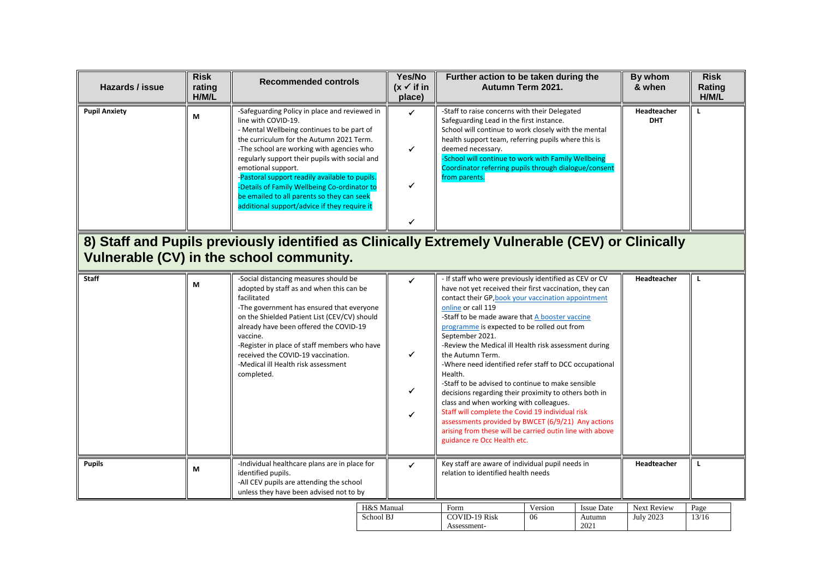| Hazards / issue      | <b>Risk</b><br>rating<br>H/M/L | <b>Recommended controls</b>                                                                                                                                                                                                                                                                                                                                                                                                                                                         |            | Yes/No<br>$(x \checkmark)$ if in<br>place) | Further action to be taken during the<br>Autumn Term 2021.                                                                                                                                                                                                                                                                                                                                                                                                                                                                                                                                                                                                                                                                                                                                                                         |         |                   | By whom<br>& when         | <b>Risk</b><br>Rating<br>H/M/L |
|----------------------|--------------------------------|-------------------------------------------------------------------------------------------------------------------------------------------------------------------------------------------------------------------------------------------------------------------------------------------------------------------------------------------------------------------------------------------------------------------------------------------------------------------------------------|------------|--------------------------------------------|------------------------------------------------------------------------------------------------------------------------------------------------------------------------------------------------------------------------------------------------------------------------------------------------------------------------------------------------------------------------------------------------------------------------------------------------------------------------------------------------------------------------------------------------------------------------------------------------------------------------------------------------------------------------------------------------------------------------------------------------------------------------------------------------------------------------------------|---------|-------------------|---------------------------|--------------------------------|
| <b>Pupil Anxiety</b> | M                              | -Safeguarding Policy in place and reviewed in<br>line with COVID-19.<br>- Mental Wellbeing continues to be part of<br>the curriculum for the Autumn 2021 Term.<br>-The school are working with agencies who<br>regularly support their pupils with social and<br>emotional support.<br>-Pastoral support readily available to pupils.<br>-Details of Family Wellbeing Co-ordinator to<br>be emailed to all parents so they can seek<br>additional support/advice if they require it |            | ✓<br>✔<br>✔<br>✔                           | -Staff to raise concerns with their Delegated<br>Safeguarding Lead in the first instance.<br>School will continue to work closely with the mental<br>health support team, referring pupils where this is<br>deemed necessary.<br>-School will continue to work with Family Wellbeing<br>Coordinator referring pupils through dialogue/consent<br>from parents.                                                                                                                                                                                                                                                                                                                                                                                                                                                                     |         |                   | Headteacher<br><b>DHT</b> | L                              |
|                      |                                | 8) Staff and Pupils previously identified as Clinically Extremely Vulnerable (CEV) or Clinically<br>Vulnerable (CV) in the school community.                                                                                                                                                                                                                                                                                                                                        |            |                                            |                                                                                                                                                                                                                                                                                                                                                                                                                                                                                                                                                                                                                                                                                                                                                                                                                                    |         |                   |                           |                                |
| <b>Staff</b>         | М                              | -Social distancing measures should be<br>adopted by staff as and when this can be<br>facilitated<br>-The government has ensured that everyone<br>on the Shielded Patient List (CEV/CV) should<br>already have been offered the COVID-19<br>vaccine.<br>-Register in place of staff members who have<br>received the COVID-19 vaccination.<br>-Medical ill Health risk assessment<br>completed.                                                                                      |            | ✔<br>✓<br>$\checkmark$<br>✓                | - If staff who were previously identified as CEV or CV<br>have not yet received their first vaccination, they can<br>contact their GP, book your vaccination appointment<br>online or call 119<br>-Staff to be made aware that A booster vaccine<br>programme is expected to be rolled out from<br>September 2021.<br>-Review the Medical ill Health risk assessment during<br>the Autumn Term.<br>-Where need identified refer staff to DCC occupational<br>Health.<br>-Staff to be advised to continue to make sensible<br>decisions regarding their proximity to others both in<br>class and when working with colleagues.<br>Staff will complete the Covid 19 individual risk<br>assessments provided by BWCET (6/9/21) Any actions<br>arising from these will be carried outin line with above<br>guidance re Occ Health etc. |         | Headteacher       | L                         |                                |
| <b>Pupils</b>        | M                              | -Individual healthcare plans are in place for<br>identified pupils.<br>-All CEV pupils are attending the school<br>unless they have been advised not to by                                                                                                                                                                                                                                                                                                                          |            | ✓                                          | Key staff are aware of individual pupil needs in<br>relation to identified health needs                                                                                                                                                                                                                                                                                                                                                                                                                                                                                                                                                                                                                                                                                                                                            |         |                   | Headteacher               | L                              |
|                      |                                |                                                                                                                                                                                                                                                                                                                                                                                                                                                                                     | H&S Manual |                                            | Form                                                                                                                                                                                                                                                                                                                                                                                                                                                                                                                                                                                                                                                                                                                                                                                                                               | Version | <b>Issue Date</b> | Next Review               | Page                           |
|                      |                                |                                                                                                                                                                                                                                                                                                                                                                                                                                                                                     | School BJ  |                                            | <b>COVID-19 Risk</b><br>Assessment-                                                                                                                                                                                                                                                                                                                                                                                                                                                                                                                                                                                                                                                                                                                                                                                                | 06      | Autumn<br>2021    | <b>July 2023</b>          | 13/16                          |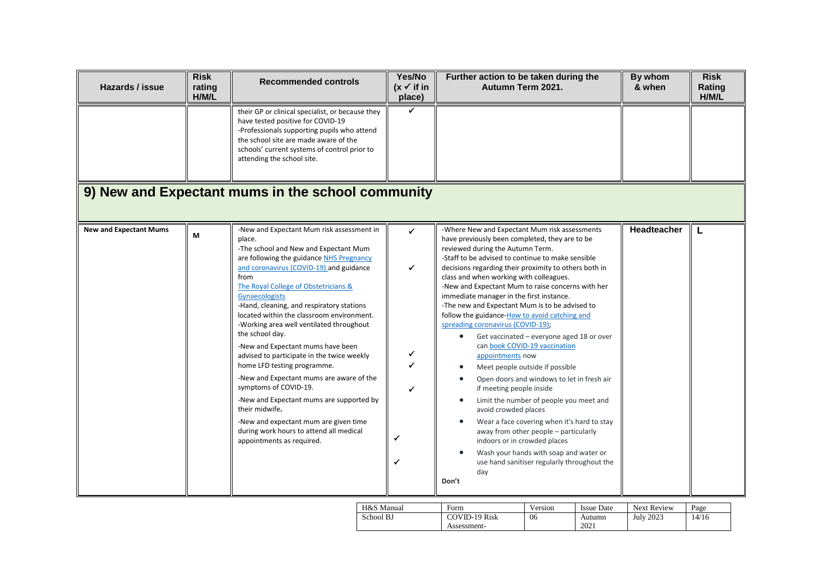| Hazards / issue               | <b>Risk</b><br>rating<br>H/M/L | <b>Recommended controls</b>                                                                                                                                                                                                                                                                                                                                                                                                                                                                                                                                                                                                                                                                                                                                                          | Yes/No<br>$(x \vee$ if in<br>place) | Further action to be taken during the<br>Autumn Term 2021.                                                                                                                                                                                                                                                                                                                                                                                                                                                                                                                                                                                                                                                                                                                                                                                                                                                                                                                                                                                                            | By whom<br>& when | <b>Risk</b><br>Rating<br>H/M/L |
|-------------------------------|--------------------------------|--------------------------------------------------------------------------------------------------------------------------------------------------------------------------------------------------------------------------------------------------------------------------------------------------------------------------------------------------------------------------------------------------------------------------------------------------------------------------------------------------------------------------------------------------------------------------------------------------------------------------------------------------------------------------------------------------------------------------------------------------------------------------------------|-------------------------------------|-----------------------------------------------------------------------------------------------------------------------------------------------------------------------------------------------------------------------------------------------------------------------------------------------------------------------------------------------------------------------------------------------------------------------------------------------------------------------------------------------------------------------------------------------------------------------------------------------------------------------------------------------------------------------------------------------------------------------------------------------------------------------------------------------------------------------------------------------------------------------------------------------------------------------------------------------------------------------------------------------------------------------------------------------------------------------|-------------------|--------------------------------|
|                               |                                | their GP or clinical specialist, or because they<br>have tested positive for COVID-19<br>-Professionals supporting pupils who attend<br>the school site are made aware of the<br>schools' current systems of control prior to<br>attending the school site.                                                                                                                                                                                                                                                                                                                                                                                                                                                                                                                          |                                     |                                                                                                                                                                                                                                                                                                                                                                                                                                                                                                                                                                                                                                                                                                                                                                                                                                                                                                                                                                                                                                                                       |                   |                                |
|                               |                                | 9) New and Expectant mums in the school community                                                                                                                                                                                                                                                                                                                                                                                                                                                                                                                                                                                                                                                                                                                                    |                                     |                                                                                                                                                                                                                                                                                                                                                                                                                                                                                                                                                                                                                                                                                                                                                                                                                                                                                                                                                                                                                                                                       |                   |                                |
| <b>New and Expectant Mums</b> | M                              | -New and Expectant Mum risk assessment in<br>place.<br>-The school and New and Expectant Mum<br>are following the guidance NHS Pregnancy<br>and coronavirus (COVID-19) and guidance<br>from<br>The Royal College of Obstetricians &<br>Gynaecologists<br>-Hand, cleaning, and respiratory stations<br>located within the classroom environment.<br>-Working area well ventilated throughout<br>the school day.<br>-New and Expectant mums have been<br>advised to participate in the twice weekly<br>home LFD testing programme.<br>-New and Expectant mums are aware of the<br>symptoms of COVID-19.<br>-New and Expectant mums are supported by<br>their midwife.<br>-New and expectant mum are given time<br>during work hours to attend all medical<br>appointments as required. | ✓<br>✓<br>✔<br>✔<br>✓               | -Where New and Expectant Mum risk assessments<br>have previously been completed, they are to be<br>reviewed during the Autumn Term.<br>-Staff to be advised to continue to make sensible<br>decisions regarding their proximity to others both in<br>class and when working with colleagues.<br>-New and Expectant Mum to raise concerns with her<br>immediate manager in the first instance.<br>-The new and Expectant Mum is to be advised to<br>follow the guidance-How to avoid catching and<br>spreading coronavirus (COVID-19);<br>Get vaccinated - everyone aged 18 or over<br>can book COVID-19 vaccination<br>appointments now<br>Meet people outside if possible<br>Open doors and windows to let in fresh air<br>if meeting people inside<br>Limit the number of people you meet and<br>$\bullet$<br>avoid crowded places<br>Wear a face covering when it's hard to stay<br>away from other people - particularly<br>indoors or in crowded places<br>Wash your hands with soap and water or<br>use hand sanitiser regularly throughout the<br>day<br>Don't | Headteacher       |                                |

| H&S Manual | Form                 | version | <b>Issue Date</b> | <b>Next Review</b> | Page |
|------------|----------------------|---------|-------------------|--------------------|------|
| School BJ  | <b>COVID-19 Risk</b> | 06      | Autumn            | July 2023          | 4/16 |
|            | Assessment-          |         | 2021              |                    |      |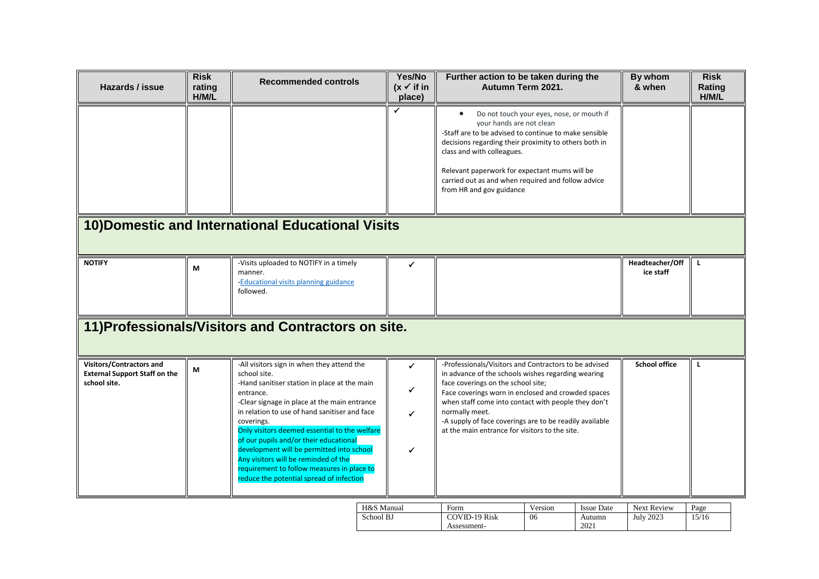| Hazards / issue                                                                  | <b>Risk</b><br>rating<br>H/M/L | <b>Recommended controls</b>                                                                                                                                                                                                                                                                                                                                                                                                                                                                                      | Yes/No<br>$(x \vee$ if in<br>place) | Further action to be taken during the<br>Autumn Term 2021.                                                                                                                                                                                                                                                                                                                                    | By whom<br>& when            | <b>Risk</b><br>Rating<br>H/M/L |
|----------------------------------------------------------------------------------|--------------------------------|------------------------------------------------------------------------------------------------------------------------------------------------------------------------------------------------------------------------------------------------------------------------------------------------------------------------------------------------------------------------------------------------------------------------------------------------------------------------------------------------------------------|-------------------------------------|-----------------------------------------------------------------------------------------------------------------------------------------------------------------------------------------------------------------------------------------------------------------------------------------------------------------------------------------------------------------------------------------------|------------------------------|--------------------------------|
|                                                                                  |                                |                                                                                                                                                                                                                                                                                                                                                                                                                                                                                                                  | $\checkmark$                        | Do not touch your eyes, nose, or mouth if<br>your hands are not clean<br>-Staff are to be advised to continue to make sensible<br>decisions regarding their proximity to others both in<br>class and with colleagues.<br>Relevant paperwork for expectant mums will be<br>carried out as and when required and follow advice<br>from HR and gov guidance                                      |                              |                                |
|                                                                                  |                                | 10) Domestic and International Educational Visits                                                                                                                                                                                                                                                                                                                                                                                                                                                                |                                     |                                                                                                                                                                                                                                                                                                                                                                                               |                              |                                |
| <b>NOTIFY</b>                                                                    | М                              | -Visits uploaded to NOTIFY in a timely<br>manner.<br>-Educational visits planning guidance<br>followed.                                                                                                                                                                                                                                                                                                                                                                                                          | ✔                                   |                                                                                                                                                                                                                                                                                                                                                                                               | Headteacher/Off<br>ice staff | L                              |
|                                                                                  |                                | 11) Professionals/Visitors and Contractors on site.                                                                                                                                                                                                                                                                                                                                                                                                                                                              |                                     |                                                                                                                                                                                                                                                                                                                                                                                               |                              |                                |
| Visitors/Contractors and<br><b>External Support Staff on the</b><br>school site. | М                              | -All visitors sign in when they attend the<br>school site.<br>-Hand sanitiser station in place at the main<br>entrance.<br>-Clear signage in place at the main entrance<br>in relation to use of hand sanitiser and face<br>coverings.<br>Only visitors deemed essential to the welfare<br>of our pupils and/or their educational<br>development will be permitted into school<br>Any visitors will be reminded of the<br>requirement to follow measures in place to<br>reduce the potential spread of infection | ✓<br>✓<br>✓                         | -Professionals/Visitors and Contractors to be advised<br>in advance of the schools wishes regarding wearing<br>face coverings on the school site;<br>Face coverings worn in enclosed and crowded spaces<br>when staff come into contact with people they don't<br>normally meet.<br>-A supply of face coverings are to be readily available<br>at the main entrance for visitors to the site. | <b>School office</b>         | L                              |
|                                                                                  |                                | H&S Manual                                                                                                                                                                                                                                                                                                                                                                                                                                                                                                       |                                     | Form<br>Version<br><b>Issue Date</b>                                                                                                                                                                                                                                                                                                                                                          | Next Review                  | Page                           |

| H&S Manual | Form          | Version | <b>Issue Date</b> | <b>Next Review</b> | Page |
|------------|---------------|---------|-------------------|--------------------|------|
| School BJ  | COVID-19 Risk | 06      | Autumn            | <b>July 2023</b>   | 5/16 |
|            | Assessment-   |         | 2021              |                    |      |